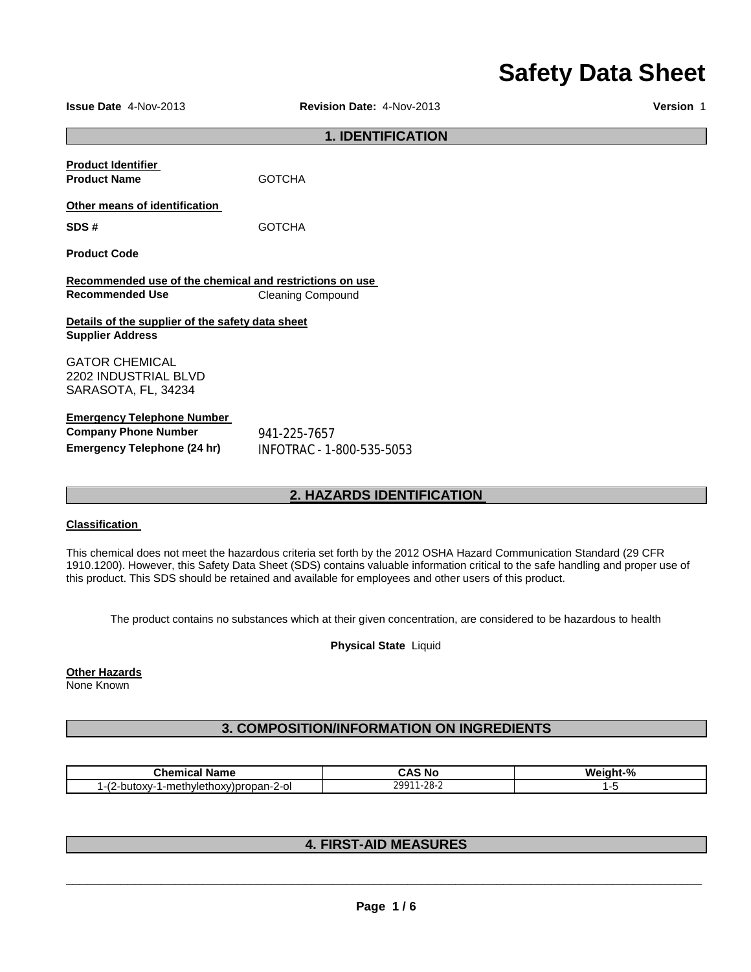# **Safety Data Sheet**

**Issue Date** 4-Nov-2013 **Revision Date:** 4-Nov-2013 **Version** 1

#### **1. IDENTIFICATION**

| <b>Product Identifier</b><br><b>Product Name</b>                            | <b>GOTCHA</b>             |
|-----------------------------------------------------------------------------|---------------------------|
| Other means of identification                                               |                           |
| SDS#                                                                        | <b>GOTCHA</b>             |
| <b>Product Code</b>                                                         |                           |
| Recommended use of the chemical and restrictions on use                     |                           |
| <b>Recommended Use</b>                                                      | <b>Cleaning Compound</b>  |
| Details of the supplier of the safety data sheet<br><b>Supplier Address</b> |                           |
| <b>GATOR CHEMICAL</b>                                                       |                           |
| 2202 INDUSTRIAL BLVD                                                        |                           |
| SARASOTA, FL, 34234                                                         |                           |
| <b>Emergency Telephone Number</b><br><b>Company Phone Number</b>            | 941-225-7657              |
| Emergency Telephone (24 hr)                                                 | INFOTRAC - 1-800-535-5053 |

## **2. HAZARDS IDENTIFICATION**

#### **Classification**

This chemical does not meet the hazardous criteria set forth by the 2012 OSHA Hazard Communication Standard (29 CFR 1910.1200). However, this Safety Data Sheet (SDS) contains valuable information critical to the safe handling and proper use of this product. This SDS should be retained and available for employees and other users of this product.

The product contains no substances which at their given concentration, are considered to be hazardous to health

**Physical State** Liquid

**Other Hazards**

None Known

## **3. COMPOSITION/INFORMATION ON INGREDIENTS**

| R<br>Name<br>onemical                                         | .No<br>unj                     | Weight-% |
|---------------------------------------------------------------|--------------------------------|----------|
| $\prime$<br>.2-butoxy-1-methylethoxy)propan-2-ol<br>$T - 1 =$ | $\sim$ $\sim$<br>. .<br>ے-20∠∸ |          |

## **4. FIRST-AID MEASURES**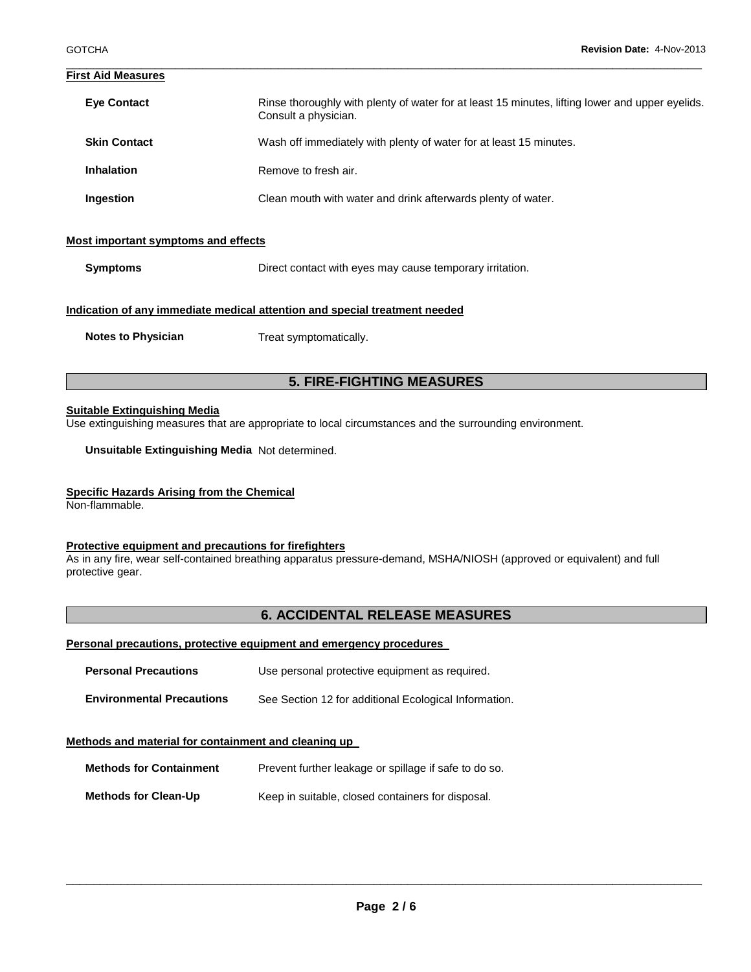#### \_\_\_\_\_\_\_\_\_\_\_\_\_\_\_\_\_\_\_\_\_\_\_\_\_\_\_\_\_\_\_\_\_\_\_\_\_\_\_\_\_\_\_\_\_\_\_\_\_\_\_\_\_\_\_\_\_\_\_\_\_\_\_\_\_\_\_\_\_\_\_\_\_\_\_\_\_\_\_\_\_\_\_\_\_\_\_\_\_\_\_\_\_ **First Aid Measures**

| <b>Eye Contact</b>                  | Rinse thoroughly with plenty of water for at least 15 minutes, lifting lower and upper eyelids.<br>Consult a physician. |
|-------------------------------------|-------------------------------------------------------------------------------------------------------------------------|
| <b>Skin Contact</b>                 | Wash off immediately with plenty of water for at least 15 minutes.                                                      |
| <b>Inhalation</b>                   | Remove to fresh air.                                                                                                    |
| Ingestion                           | Clean mouth with water and drink afterwards plenty of water.                                                            |
| Most important symptoms and effects |                                                                                                                         |

**Symptoms Direct contact with eyes may cause temporary irritation.** 

#### **Indication of any immediate medical attention and special treatment needed**

**Notes to Physician**  Treat symptomatically.

### **5. FIRE-FIGHTING MEASURES**

#### **Suitable Extinguishing Media**

Use extinguishing measures that are appropriate to local circumstances and the surrounding environment.

**Unsuitable Extinguishing Media** Not determined.

#### **Specific Hazards Arising from the Chemical**

Non-flammable.

#### **Protective equipment and precautions for firefighters**

As in any fire, wear self-contained breathing apparatus pressure-demand, MSHA/NIOSH (approved or equivalent) and full protective gear.

## **6. ACCIDENTAL RELEASE MEASURES**

#### **Personal precautions, protective equipment and emergency procedures**

| <b>Personal Precautions</b>      | Use personal protective equipment as required.        |
|----------------------------------|-------------------------------------------------------|
| <b>Environmental Precautions</b> | See Section 12 for additional Ecological Information. |

#### **Methods and material for containment and cleaning up**

| <b>Methods for Containment</b> | Prevent further leakage or spillage if safe to do so. |
|--------------------------------|-------------------------------------------------------|
| <b>Methods for Clean-Up</b>    | Keep in suitable, closed containers for disposal.     |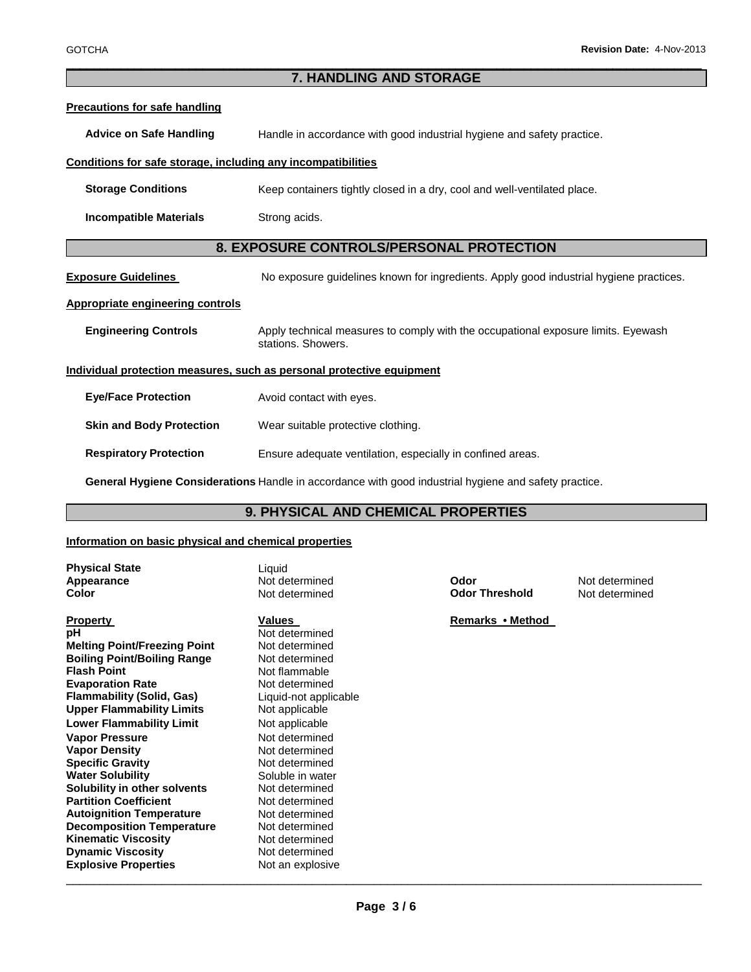#### \_\_\_\_\_\_\_\_\_\_\_\_\_\_\_\_\_\_\_\_\_\_\_\_\_\_\_\_\_\_\_\_\_\_\_\_\_\_\_\_\_\_\_\_\_\_\_\_\_\_\_\_\_\_\_\_\_\_\_\_\_\_\_\_\_\_\_\_\_\_\_\_\_\_\_\_\_\_\_\_\_\_\_\_\_\_\_\_\_\_\_\_\_ **7. HANDLING AND STORAGE**

| <b>Precautions for safe handling</b>                                  |                                                                                                         |
|-----------------------------------------------------------------------|---------------------------------------------------------------------------------------------------------|
| <b>Advice on Safe Handling</b>                                        | Handle in accordance with good industrial hygiene and safety practice.                                  |
| Conditions for safe storage, including any incompatibilities          |                                                                                                         |
| <b>Storage Conditions</b>                                             | Keep containers tightly closed in a dry, cool and well-ventilated place.                                |
| <b>Incompatible Materials</b>                                         | Strong acids.                                                                                           |
| 8. EXPOSURE CONTROLS/PERSONAL PROTECTION                              |                                                                                                         |
| <b>Exposure Guidelines</b>                                            | No exposure guidelines known for ingredients. Apply good industrial hygiene practices.                  |
| <b>Appropriate engineering controls</b>                               |                                                                                                         |
| <b>Engineering Controls</b>                                           | Apply technical measures to comply with the occupational exposure limits. Eyewash<br>stations. Showers. |
| Individual protection measures, such as personal protective equipment |                                                                                                         |
| <b>Eye/Face Protection</b>                                            | Avoid contact with eyes.                                                                                |
| <b>Skin and Body Protection</b>                                       | Wear suitable protective clothing.                                                                      |
| <b>Respiratory Protection</b>                                         | Ensure adequate ventilation, especially in confined areas.                                              |
|                                                                       | General Hygiene Considerations Handle in accordance with good industrial hygiene and safety practice.   |

## **9. PHYSICAL AND CHEMICAL PROPERTIES**

### **Information on basic physical and chemical properties**

| <b>Physical State</b><br>Appearance<br>Color | Liquid<br>Not determined<br>Not determined | Odor<br><b>Odor Threshold</b> | Not determined<br>Not determined |
|----------------------------------------------|--------------------------------------------|-------------------------------|----------------------------------|
| <b>Property</b>                              | Values                                     | Remarks • Method              |                                  |
| рH                                           | Not determined                             |                               |                                  |
| <b>Melting Point/Freezing Point</b>          | Not determined                             |                               |                                  |
| <b>Boiling Point/Boiling Range</b>           | Not determined                             |                               |                                  |
| <b>Flash Point</b>                           | Not flammable                              |                               |                                  |
| <b>Evaporation Rate</b>                      | Not determined                             |                               |                                  |
| <b>Flammability (Solid, Gas)</b>             | Liquid-not applicable                      |                               |                                  |
| <b>Upper Flammability Limits</b>             | Not applicable                             |                               |                                  |
| <b>Lower Flammability Limit</b>              | Not applicable                             |                               |                                  |
| <b>Vapor Pressure</b>                        | Not determined                             |                               |                                  |
| <b>Vapor Density</b>                         | Not determined                             |                               |                                  |
| <b>Specific Gravity</b>                      | Not determined                             |                               |                                  |
| <b>Water Solubility</b>                      | Soluble in water                           |                               |                                  |
| Solubility in other solvents                 | Not determined                             |                               |                                  |
| <b>Partition Coefficient</b>                 | Not determined                             |                               |                                  |
| <b>Autoignition Temperature</b>              | Not determined                             |                               |                                  |
| <b>Decomposition Temperature</b>             | Not determined                             |                               |                                  |
| <b>Kinematic Viscosity</b>                   | Not determined                             |                               |                                  |
| <b>Dynamic Viscosity</b>                     | Not determined                             |                               |                                  |
| <b>Explosive Properties</b>                  | Not an explosive                           |                               |                                  |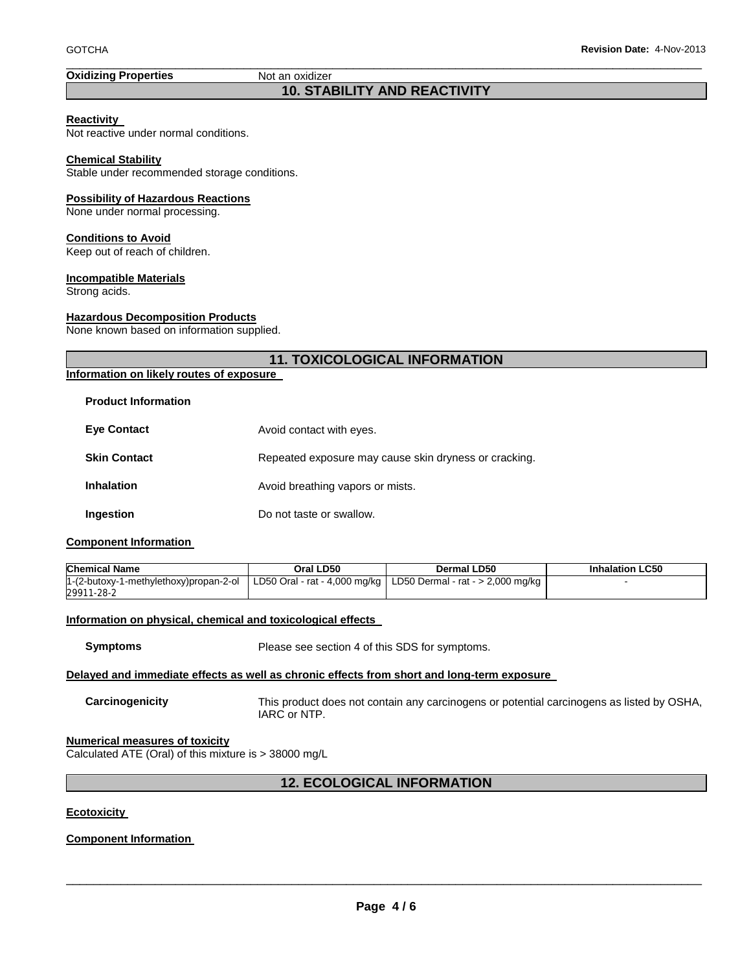### **Oxidizing Properties Not an oxidizer**

## **10. STABILITY AND REACTIVITY**

\_\_\_\_\_\_\_\_\_\_\_\_\_\_\_\_\_\_\_\_\_\_\_\_\_\_\_\_\_\_\_\_\_\_\_\_\_\_\_\_\_\_\_\_\_\_\_\_\_\_\_\_\_\_\_\_\_\_\_\_\_\_\_\_\_\_\_\_\_\_\_\_\_\_\_\_\_\_\_\_\_\_\_\_\_\_\_\_\_\_\_\_\_

#### **Reactivity**

Not reactive under normal conditions.

#### **Chemical Stability**

Stable under recommended storage conditions.

#### **Possibility of Hazardous Reactions**

None under normal processing.

#### **Conditions to Avoid**

Keep out of reach of children.

#### **Incompatible Materials**

Strong acids.

#### **Hazardous Decomposition Products**

None known based on information supplied.

| <b>11. TOXICOLOGICAL INFORMATION</b>     |                                                       |  |
|------------------------------------------|-------------------------------------------------------|--|
| Information on likely routes of exposure |                                                       |  |
| <b>Product Information</b>               |                                                       |  |
| <b>Eye Contact</b>                       | Avoid contact with eyes.                              |  |
| <b>Skin Contact</b>                      | Repeated exposure may cause skin dryness or cracking. |  |
| <b>Inhalation</b>                        | Avoid breathing vapors or mists.                      |  |
|                                          |                                                       |  |

## **Component Information**

| <b>Chemical Name</b>                                                                                          | Oral LD50 | Dermal LD50 | <b>Inhalation LC50</b> |
|---------------------------------------------------------------------------------------------------------------|-----------|-------------|------------------------|
| $1-(2$ -butoxy-1-methylethoxy)propan-2-ol   LD50 Oral - rat - 4,000 mg/kg   LD50 Dermal - rat - > 2,000 mg/kg |           |             |                        |
| 29911-28-2                                                                                                    |           |             |                        |

#### **Information on physical, chemical and toxicological effects**

**Ingestion Do not taste or swallow.** 

**Symptoms** Please see section 4 of this SDS for symptoms.

#### **Delayed and immediate effects as well as chronic effects from short and long-term exposure**

**Carcinogenicity** This product does not contain any carcinogens or potential carcinogens as listed by OSHA, IARC or NTP.

#### **Numerical measures of toxicity**

Calculated ATE (Oral) of this mixture is > 38000 mg/L

## **12. ECOLOGICAL INFORMATION**

#### **Ecotoxicity**

#### **Component Information**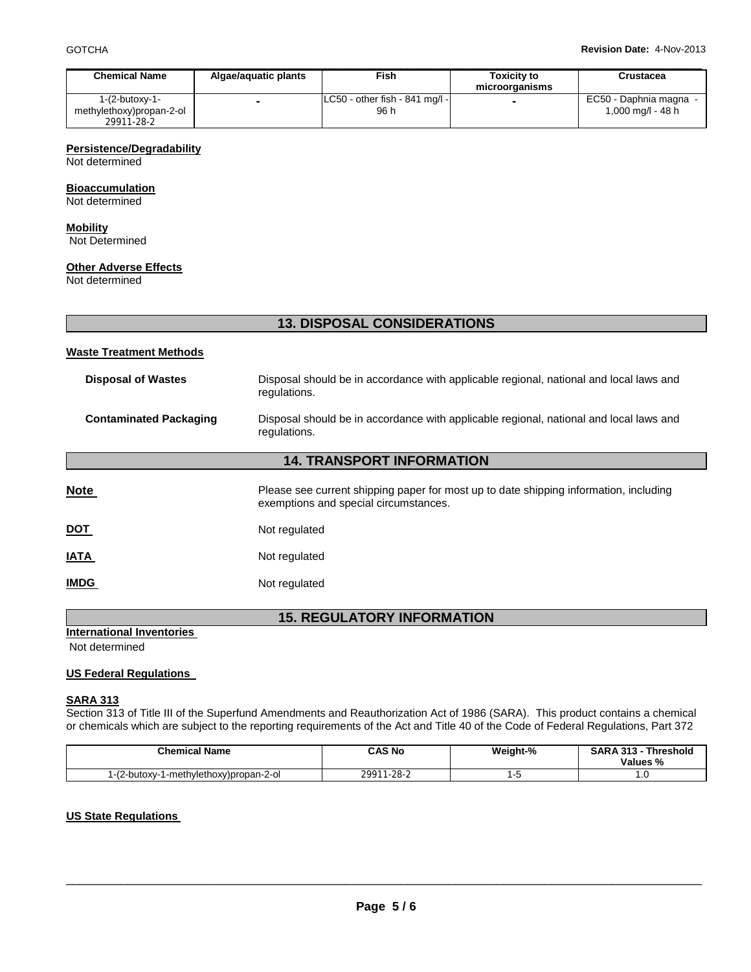| <b>Chemical Name</b>     | Algae/aguatic plants     | Fish                              | <b>Toxicity to</b> | Crustacea              |
|--------------------------|--------------------------|-----------------------------------|--------------------|------------------------|
|                          |                          |                                   | microorganisms     |                        |
| $1-(2$ -butoxy-1-        | $\overline{\phantom{a}}$ | $ LC50 - other fish - 841 mg/1 -$ |                    | EC50 - Daphnia magna - |
| methylethoxy)propan-2-ol |                          | 96 h                              |                    | 1,000 mg/l - 48 h      |
| 29911-28-2               |                          |                                   |                    |                        |

#### **Persistence/Degradability**

Not determined

#### **Bioaccumulation**

Not determined

## **Mobility**

Not Determined

#### **Other Adverse Effects**

Not determined

## **13. DISPOSAL CONSIDERATIONS**

#### **Waste Treatment Methods**

| Disposal of Wastes     | Disposal should be in accordance with applicable regional, national and local laws and<br>regulations. |
|------------------------|--------------------------------------------------------------------------------------------------------|
| Contaminated Packaging | Disposal should be in accordance with applicable regional, national and local laws and<br>regulations. |

## **14. TRANSPORT INFORMATION**

| <b>Note</b> | Please see current shipping paper for most up to date shipping information, including<br>exemptions and special circumstances. |
|-------------|--------------------------------------------------------------------------------------------------------------------------------|
| <u>DOT</u>  | Not regulated                                                                                                                  |
| <u>IATA</u> | Not regulated                                                                                                                  |
| <b>IMDG</b> | Not regulated                                                                                                                  |

## **15. REGULATORY INFORMATION**

## **International Inventories**

Not determined

#### **US Federal Regulations**

#### **SARA 313**

Section 313 of Title III of the Superfund Amendments and Reauthorization Act of 1986 (SARA). This product contains a chemical or chemicals which are subject to the reporting requirements of the Act and Title 40 of the Code of Federal Regulations, Part 372

| <b>Chemical Name</b>                        | CAS No                | Weight-% | <b>SARA 313 -</b><br><b>Threshold</b><br>Values % |
|---------------------------------------------|-----------------------|----------|---------------------------------------------------|
| 1-(2-butoxv-1<br>1-methylethoxy)propan-2-ol | 29911<br>$1 - 28 - 2$ | .        | . ت                                               |

#### **US State Regulations**